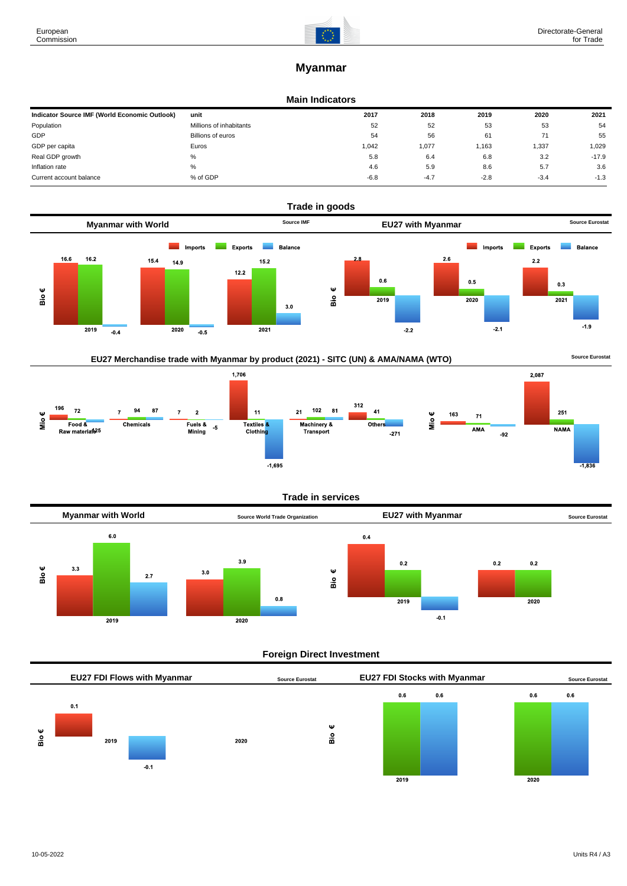

# **Myanmar**

#### **Main Indicators**

| Indicator Source IMF (World Economic Outlook) | unit                    | 2017   | 2018   | 2019   | 2020   | 2021    |
|-----------------------------------------------|-------------------------|--------|--------|--------|--------|---------|
| Population                                    | Millions of inhabitants | 52     | 52     | 53     | 53     | 54      |
| GDP                                           | Billions of euros       | 54     | 56     | 61     |        | 55      |
| GDP per capita                                | Euros                   | 1,042  | 1,077  | 1,163  | 1,337  | 1,029   |
| Real GDP growth                               | %                       | 5.8    | 6.4    | 6.8    | 3.2    | $-17.9$ |
| Inflation rate                                | %                       | 4.6    | 5.9    | 8.6    | 5.7    | 3.6     |
| Current account balance                       | % of GDP                | $-6.8$ | $-4.7$ | $-2.8$ | $-3.4$ | $-1.3$  |



# EU27 Merchandise trade with Myanmar by product (2021) - SITC (UN) & AMA/NAMA (WTO) **Source Eurostat**

1,706 2,087 312 196  $72$ 94 87  $102$  $\overline{\mathbf{8}}$ 1  $\overline{7}$  $\overline{7}$  $\overline{21}$  $41$  $\overline{2}$  $11$ 251 163 Mio€  $\mathbf{71}$  $\frac{6}{5}$  $F$ ood & Fuels &<br>Mining Textiles<sup>&</sup><br>Clothin<mark>g</mark> Chemicals Machinery &  $n_{\text{the}}$  $-5$ AMA **NAMA** Raw material<sup>25</sup> nachmery<br>Transport  $-271$  $-92$  $-1,695$  $-1,836$ 

#### **Trade in services**



## **Foreign Direct Investment**